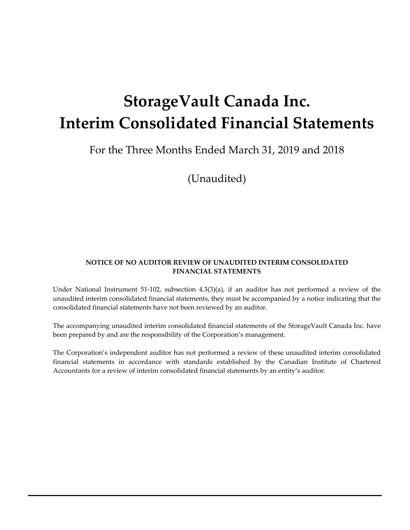# **StorageVault Canada Inc. Interim Consolidated Financial Statements**

For the Three Months Ended March 31, 2019 and 2018

(Unaudited)

#### **NOTICE OF NO AUDITOR REVIEW OF UNAUDITED INTERIM CONSOLIDATED FINANCIAL STATEMENTS**

Under National Instrument 51‐102, subsection 4.3(3)(a), if an auditor has not performed a review of the unaudited interim consolidated financial statements, they must be accompanied by a notice indicating that the consolidated financial statements have not been reviewed by an auditor.

The accompanying unaudited interim consolidated financial statements of the StorageVault Canada Inc. have been prepared by and are the responsibility of the Corporation's management.

The Corporation's independent auditor has not performed a review of these unaudited interim consolidated financial statements in accordance with standards established by the Canadian Institute of Chartered Accountants for a review of interim consolidated financial statements by an entity's auditor.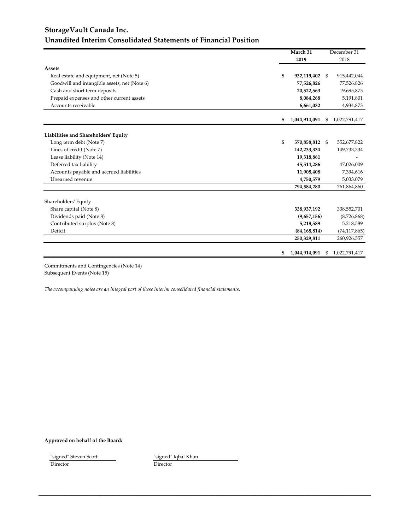### **StorageVault Canada Inc. Unaudited Interim Consolidated Statements of Financial Position**

|                                              | March 31 |                | December 31  |                |
|----------------------------------------------|----------|----------------|--------------|----------------|
|                                              |          | 2019           |              | 2018           |
| <b>Assets</b>                                |          |                |              |                |
| Real estate and equipment, net (Note 5)      | \$       | 932,119,402 \$ |              | 915,442,044    |
| Goodwill and intangible assets, net (Note 6) |          | 77,526,826     |              | 77,526,826     |
| Cash and short term deposits                 |          | 20,522,563     |              | 19,695,873     |
| Prepaid expenses and other current assets    |          | 8,084,268      |              | 5,191,801      |
| Accounts receivable                          |          | 6,661,032      |              | 4,934,873      |
|                                              | \$       | 1,044,914,091  | - \$         | 1,022,791,417  |
| Liabilities and Shareholders' Equity         |          |                |              |                |
| Long term debt (Note 7)                      | \$       | 570,858,812 \$ |              | 552,677,822    |
| Lines of credit (Note 7)                     |          | 142,233,334    |              | 149,733,334    |
| Lease liability (Note 14)                    |          | 19,318,861     |              |                |
| Deferred tax liability                       |          | 45,514,286     |              | 47,026,009     |
| Accounts payable and accrued liabilities     |          | 11,908,408     |              | 7,394,616      |
| Unearned revenue                             |          | 4,750,579      |              | 5,033,079      |
|                                              |          | 794,584,280    |              | 761,864,860    |
| Shareholders' Equity                         |          |                |              |                |
| Share capital (Note 8)                       |          | 338,937,192    |              | 338,552,701    |
| Dividends paid (Note 8)                      |          | (9,657,156)    |              | (8,726,868)    |
| Contributed surplus (Note 8)                 |          | 5,218,589      |              | 5,218,589      |
| Deficit                                      |          | (84, 168, 814) |              | (74, 117, 865) |
|                                              |          | 250,329,811    |              | 260,926,557    |
|                                              | \$       | 1,044,914,091  | <sup>8</sup> | 1,022,791,417  |

Commitments and Contingencies (Note 14) Subsequent Events (Note 15)

*The accompanying notes are an integral part of these interim consolidated financial statements.*

**Approved on behalf of the Board:**

| "signed" Steven Scott | "signed" Iqbal Khan |
|-----------------------|---------------------|
| Director              | Director            |

**\_\_\_\_\_\_\_\_\_\_\_\_\_\_\_\_\_\_\_\_\_\_\_\_\_\_\_\_\_\_\_\_\_\_\_\_\_\_\_\_\_\_\_\_\_\_\_\_\_\_\_\_\_\_\_\_\_\_\_\_\_\_\_\_\_\_\_\_\_\_\_\_\_\_\_\_\_\_\_\_\_\_\_\_\_\_\_\_\_\_**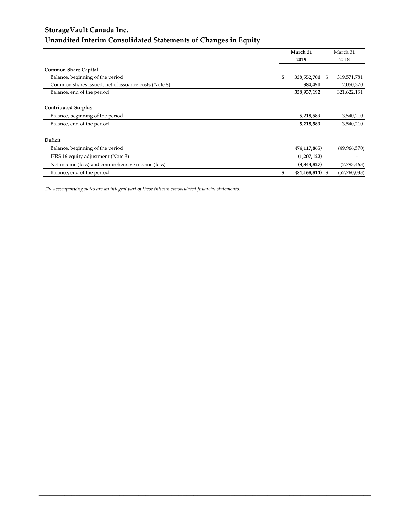### **StorageVault Canada Inc. Unaudited Interim Consolidated Statements of Changes in Equity**

|                                                      | March 31<br>March 31      |              |
|------------------------------------------------------|---------------------------|--------------|
|                                                      | 2019                      | 2018         |
| <b>Common Share Capital</b>                          |                           |              |
| Balance, beginning of the period                     | \$<br>338,552,701 \$      | 319,571,781  |
| Common shares issued, net of issuance costs (Note 8) | 384,491                   | 2,050,370    |
| Balance, end of the period                           | 338,937,192               | 321,622,151  |
|                                                      |                           |              |
| <b>Contributed Surplus</b>                           |                           |              |
| Balance, beginning of the period                     | 5,218,589                 | 3,540,210    |
| Balance, end of the period                           | 5,218,589                 | 3,540,210    |
| Deficit                                              |                           |              |
| Balance, beginning of the period                     | (74, 117, 865)            | (49,966,570) |
| IFRS 16 equity adjustment (Note 3)                   | (1,207,122)               |              |
| Net income (loss) and comprehensive income (loss)    | (8,843,827)               | (7,793,463)  |
| Balance, end of the period                           | \$<br>$(84, 168, 814)$ \$ | (57,760,033) |

**\_\_\_\_\_\_\_\_\_\_\_\_\_\_\_\_\_\_\_\_\_\_\_\_\_\_\_\_\_\_\_\_\_\_\_\_\_\_\_\_\_\_\_\_\_\_\_\_\_\_\_\_\_\_\_\_\_\_\_\_\_\_\_\_\_\_\_\_\_\_\_\_\_\_\_\_\_\_\_\_\_\_\_\_\_\_\_\_\_\_**

*The accompanying notes are an integral part of these interim consolidated financial statements.*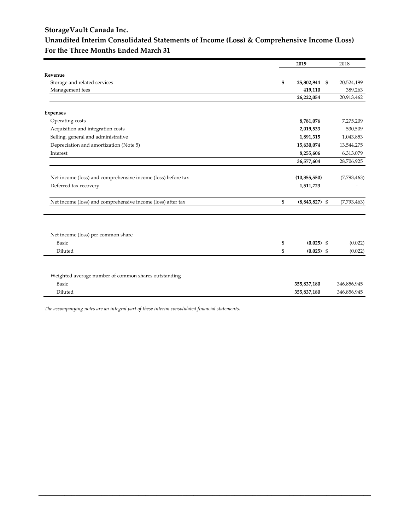#### **StorageVault Canada Inc.**

#### **Unaudited Interim Consolidated Statements of Income (Loss) & Comprehensive Income (Loss) For the Three Months Ended March 31**

|                                                              | 2019                   | 2018        |
|--------------------------------------------------------------|------------------------|-------------|
| Revenue                                                      |                        |             |
| Storage and related services                                 | \$<br>25,802,944 \$    | 20,524,199  |
| Management fees                                              | 419,110                | 389,263     |
|                                                              | 26,222,054             | 20,913,462  |
|                                                              |                        |             |
| <b>Expenses</b>                                              |                        |             |
| Operating costs                                              | 8,781,076              | 7,275,209   |
| Acquisition and integration costs                            | 2,019,533              | 530,509     |
| Selling, general and administrative                          | 1,891,315              | 1,043,853   |
| Depreciation and amortization (Note 5)                       | 15,630,074             | 13,544,275  |
| Interest                                                     | 8,255,606              | 6,313,079   |
|                                                              | 36,577,604             | 28,706,925  |
|                                                              |                        |             |
| Net income (loss) and comprehensive income (loss) before tax | (10, 355, 550)         | (7,793,463) |
| Deferred tax recovery                                        | 1,511,723              |             |
|                                                              |                        |             |
| Net income (loss) and comprehensive income (loss) after tax  | \$<br>$(8,843,827)$ \$ | (7,793,463) |
|                                                              |                        |             |
|                                                              |                        |             |
|                                                              |                        |             |
| Net income (loss) per common share                           |                        |             |
| Basic                                                        | \$<br>$(0.025)$ \$     | (0.022)     |
| Diluted                                                      | \$<br>$(0.025)$ \$     | (0.022)     |
|                                                              |                        |             |
|                                                              |                        |             |
| Weighted average number of common shares outstanding         |                        |             |
| Basic                                                        | 355,837,180            | 346,856,945 |
| Diluted                                                      | 355,837,180            | 346,856,945 |
|                                                              |                        |             |

**\_\_\_\_\_\_\_\_\_\_\_\_\_\_\_\_\_\_\_\_\_\_\_\_\_\_\_\_\_\_\_\_\_\_\_\_\_\_\_\_\_\_\_\_\_\_\_\_\_\_\_\_\_\_\_\_\_\_\_\_\_\_\_\_\_\_\_\_\_\_\_\_\_\_\_\_\_\_\_\_\_\_\_\_\_\_\_\_\_\_**

*The accompanying notes are an integral part of these interim consolidated financial statements.*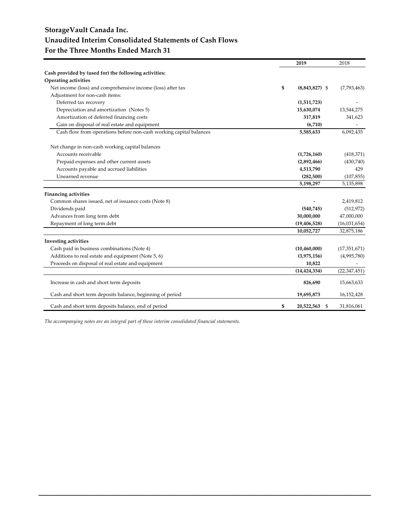### **StorageVault Canada Inc. Unaudited Interim Consolidated Statements of Cash Flows For the Three Months Ended March 31**

|                                                                    | 2019                    | 2018           |
|--------------------------------------------------------------------|-------------------------|----------------|
| Cash provided by (used for) the following activities:              |                         |                |
| Operating activities                                               |                         |                |
| Net income (loss) and comprehensive income (loss) after tax        | \$<br>$(8,843,827)$ \$  | (7,793,463)    |
| Adjustment for non-cash items:                                     |                         |                |
| Deferred tax recovery                                              | (1,511,723)             |                |
| Depreciation and amortization (Notes 5)                            | 15,630,074              | 13,544,275     |
| Amortization of deferred financing costs                           | 317,819                 | 341,623        |
| Gain on disposal of real estate and equipment                      | (6,710)                 |                |
| Cash flow from operations before non-cash working capital balances | 5,585,633               | 6,092,435      |
| Net change in non-cash working capital balances                    |                         |                |
| Accounts receivable                                                | (1,726,160)             | (418,371)      |
| Prepaid expenses and other current assets                          | (2,892,466)             | (430,740)      |
| Accounts payable and accrued liabilities                           | 4,513,790               | 429            |
| Unearned revenue                                                   | (282,500)               | (107, 855)     |
|                                                                    | 5,198,297               | 5,135,898      |
| <b>Financing activities</b>                                        |                         |                |
| Common shares issued, net of issuance costs (Note 8)               |                         | 2,419,812      |
| Dividends paid                                                     | (540, 745)              | (512, 972)     |
| Advances from long term debt                                       | 30,000,000              | 47,000,000     |
| Repayment of long term debt                                        | (19, 406, 528)          | (16,031,654)   |
|                                                                    | 10,052,727              | 32,875,186     |
| <b>Investing activities</b>                                        |                         |                |
| Cash paid in business combinations (Note 4)                        | (10, 460, 000)          | (17, 351, 671) |
| Additions to real estate and equipment (Note 5, 6)                 | (3,975,156)             | (4,995,780)    |
| Proceeds on disposal of real estate and equipment                  | 10,822                  |                |
|                                                                    | (14, 424, 334)          | (22, 347, 451) |
| Increase in cash and short term deposits                           | 826,690                 | 15,663,633     |
| Cash and short term deposits balance, beginning of period          | 19,695,873              | 16,152,428     |
| Cash and short term deposits balance, end of period                | \$<br>20,522,563<br>-\$ | 31,816,061     |

**\_\_\_\_\_\_\_\_\_\_\_\_\_\_\_\_\_\_\_\_\_\_\_\_\_\_\_\_\_\_\_\_\_\_\_\_\_\_\_\_\_\_\_\_\_\_\_\_\_\_\_\_\_\_\_\_\_\_\_\_\_\_\_\_\_\_\_\_\_\_\_\_\_\_\_\_\_\_\_\_\_\_\_\_\_\_\_\_\_\_**

*The accompanying notes are an integral part of these interim consolidated financial statements.*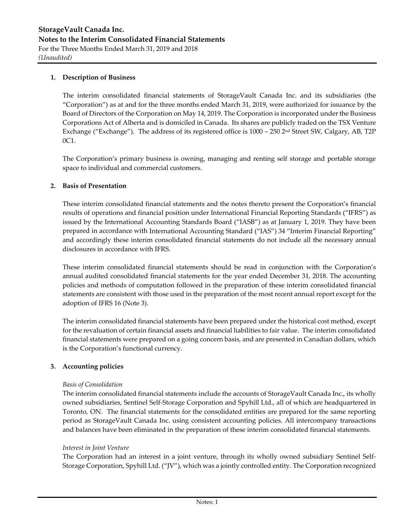#### **1. Description of Business**

The interim consolidated financial statements of StorageVault Canada Inc. and its subsidiaries (the "Corporation") as at and for the three months ended March 31, 2019, were authorized for issuance by the Board of Directors of the Corporation on May 14, 2019. The Corporation is incorporated under the Business Corporations Act of Alberta and is domiciled in Canada. Its shares are publicly traded on the TSX Venture Exchange ("Exchange"). The address of its registered office is 1000 - 250 2<sup>nd</sup> Street SW, Calgary, AB, T2P 0C1.

The Corporation's primary business is owning, managing and renting self storage and portable storage space to individual and commercial customers.

#### **2. Basis of Presentation**

These interim consolidated financial statements and the notes thereto present the Corporation's financial results of operations and financial position under International Financial Reporting Standards ("IFRS") as issued by the International Accounting Standards Board ("IASB") as at January 1, 2019. They have been prepared in accordance with International Accounting Standard ("IAS") 34 "Interim Financial Reporting" and accordingly these interim consolidated financial statements do not include all the necessary annual disclosures in accordance with IFRS.

These interim consolidated financial statements should be read in conjunction with the Corporation's annual audited consolidated financial statements for the year ended December 31, 2018. The accounting policies and methods of computation followed in the preparation of these interim consolidated financial statements are consistent with those used in the preparation of the most recent annual report except for the adoption of IFRS 16 (Note 3).

The interim consolidated financial statements have been prepared under the historical cost method, except for the revaluation of certain financial assets and financial liabilities to fair value. The interim consolidated financial statements were prepared on a going concern basis, and are presented in Canadian dollars, which is the Corporation's functional currency.

#### **3. Accounting policies**

#### *Basis of Consolidation*

The interim consolidated financial statements include the accounts of StorageVault Canada Inc., its wholly owned subsidiaries, Sentinel Self‐Storage Corporation and Spyhill Ltd., all of which are headquartered in Toronto, ON. The financial statements for the consolidated entities are prepared for the same reporting period as StorageVault Canada Inc. using consistent accounting policies. All intercompany transactions and balances have been eliminated in the preparation of these interim consolidated financial statements.

#### *Interest in Joint Venture*

The Corporation had an interest in a joint venture, through its wholly owned subsidiary Sentinel Self‐ Storage Corporation, Spyhill Ltd. ("JV"), which was a jointly controlled entity. The Corporation recognized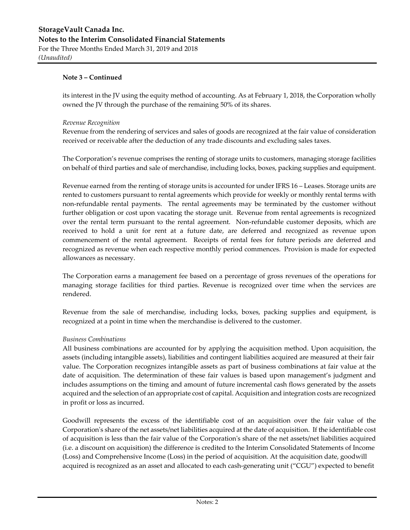its interest in the JV using the equity method of accounting. As at February 1, 2018, the Corporation wholly owned the JV through the purchase of the remaining 50% of its shares.

#### *Revenue Recognition*

Revenue from the rendering of services and sales of goods are recognized at the fair value of consideration received or receivable after the deduction of any trade discounts and excluding sales taxes.

The Corporation's revenue comprises the renting of storage units to customers, managing storage facilities on behalf of third parties and sale of merchandise, including locks, boxes, packing supplies and equipment.

Revenue earned from the renting of storage units is accounted for under IFRS 16 – Leases. Storage units are rented to customers pursuant to rental agreements which provide for weekly or monthly rental terms with non-refundable rental payments. The rental agreements may be terminated by the customer without further obligation or cost upon vacating the storage unit. Revenue from rental agreements is recognized over the rental term pursuant to the rental agreement. Non‐refundable customer deposits, which are received to hold a unit for rent at a future date, are deferred and recognized as revenue upon commencement of the rental agreement. Receipts of rental fees for future periods are deferred and recognized as revenue when each respective monthly period commences. Provision is made for expected allowances as necessary.

The Corporation earns a management fee based on a percentage of gross revenues of the operations for managing storage facilities for third parties. Revenue is recognized over time when the services are rendered.

Revenue from the sale of merchandise, including locks, boxes, packing supplies and equipment, is recognized at a point in time when the merchandise is delivered to the customer.

#### *Business Combinations*

All business combinations are accounted for by applying the acquisition method. Upon acquisition, the assets (including intangible assets), liabilities and contingent liabilities acquired are measured at their fair value. The Corporation recognizes intangible assets as part of business combinations at fair value at the date of acquisition. The determination of these fair values is based upon management's judgment and includes assumptions on the timing and amount of future incremental cash flows generated by the assets acquired and the selection of an appropriate cost of capital. Acquisition and integration costs are recognized in profit or loss as incurred.

Goodwill represents the excess of the identifiable cost of an acquisition over the fair value of the Corporation's share of the net assets/net liabilities acquired at the date of acquisition. If the identifiable cost of acquisition is less than the fair value of the Corporationʹs share of the net assets/net liabilities acquired (i.e. a discount on acquisition) the difference is credited to the Interim Consolidated Statements of Income (Loss) and Comprehensive Income (Loss) in the period of acquisition. At the acquisition date, goodwill acquired is recognized as an asset and allocated to each cash‐generating unit ("CGU") expected to benefit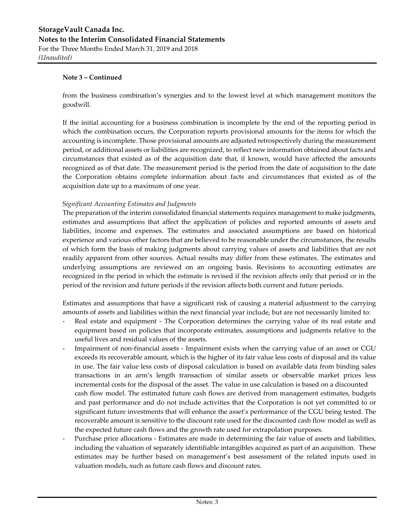from the business combination's synergies and to the lowest level at which management monitors the goodwill.

If the initial accounting for a business combination is incomplete by the end of the reporting period in which the combination occurs, the Corporation reports provisional amounts for the items for which the accounting is incomplete. Those provisional amounts are adjusted retrospectively during the measurement period, or additional assets or liabilities are recognized, to reflect new information obtained about facts and circumstances that existed as of the acquisition date that, if known, would have affected the amounts recognized as of that date. The measurement period is the period from the date of acquisition to the date the Corporation obtains complete information about facts and circumstances that existed as of the acquisition date up to a maximum of one year.

#### S*ignificant Accounting Estimates and Judgments*

The preparation of the interim consolidated financial statements requires management to make judgments, estimates and assumptions that affect the application of policies and reported amounts of assets and liabilities, income and expenses. The estimates and associated assumptions are based on historical experience and various other factors that are believed to be reasonable under the circumstances, the results of which form the basis of making judgments about carrying values of assets and liabilities that are not readily apparent from other sources. Actual results may differ from these estimates. The estimates and underlying assumptions are reviewed on an ongoing basis. Revisions to accounting estimates are recognized in the period in which the estimate is revised if the revision affects only that period or in the period of the revision and future periods if the revision affects both current and future periods.

Estimates and assumptions that have a significant risk of causing a material adjustment to the carrying amounts of assets and liabilities within the next financial year include, but are not necessarily limited to:

- Real estate and equipment The Corporation determines the carrying value of its real estate and equipment based on policies that incorporate estimates, assumptions and judgments relative to the useful lives and residual values of the assets.
- ‐ Impairment of non‐financial assets ‐ Impairment exists when the carrying value of an asset or CGU exceeds its recoverable amount, which is the higher of its fair value less costs of disposal and its value in use. The fair value less costs of disposal calculation is based on available data from binding sales transactions in an arm's length transaction of similar assets or observable market prices less incremental costs for the disposal of the asset. The value in use calculation is based on a discounted cash flow model. The estimated future cash flows are derived from management estimates, budgets and past performance and do not include activities that the Corporation is not yet committed to or significant future investments that will enhance the asset's performance of the CGU being tested. The recoverable amount is sensitive to the discount rate used for the discounted cash flow model as well as the expected future cash flows and the growth rate used for extrapolation purposes.
- ‐ Purchase price allocations ‐ Estimates are made in determining the fair value of assets and liabilities, including the valuation of separately identifiable intangibles acquired as part of an acquisition. These estimates may be further based on management's best assessment of the related inputs used in valuation models, such as future cash flows and discount rates.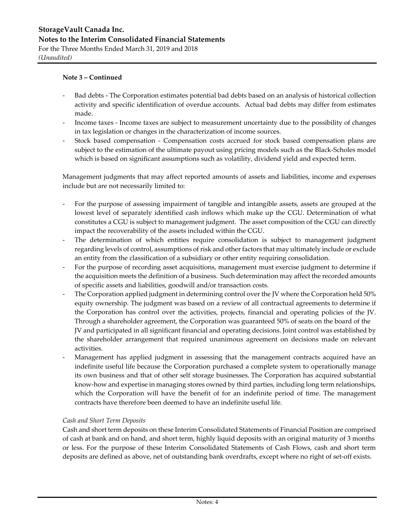- Bad debts The Corporation estimates potential bad debts based on an analysis of historical collection activity and specific identification of overdue accounts. Actual bad debts may differ from estimates made.
- ‐ Income taxes ‐ Income taxes are subject to measurement uncertainty due to the possibility of changes in tax legislation or changes in the characterization of income sources.
- Stock based compensation Compensation costs accrued for stock based compensation plans are subject to the estimation of the ultimate payout using pricing models such as the Black‐Scholes model which is based on significant assumptions such as volatility, dividend yield and expected term.

Management judgments that may affect reported amounts of assets and liabilities, income and expenses include but are not necessarily limited to:

- ‐ For the purpose of assessing impairment of tangible and intangible assets, assets are grouped at the lowest level of separately identified cash inflows which make up the CGU. Determination of what constitutes a CGU is subject to management judgment. The asset composition of the CGU can directly impact the recoverability of the assets included within the CGU.
- The determination of which entities require consolidation is subject to management judgment regarding levels of control, assumptions of risk and other factors that may ultimately include or exclude an entity from the classification of a subsidiary or other entity requiring consolidation.
- For the purpose of recording asset acquisitions, management must exercise judgment to determine if the acquisition meets the definition of a business. Such determination may affect the recorded amounts of specific assets and liabilities, goodwill and/or transaction costs.
- ‐ The Corporation applied judgment in determining control over the JV where the Corporation held 50% equity ownership. The judgment was based on a review of all contractual agreements to determine if the Corporation has control over the activities, projects, financial and operating policies of the JV. Through a shareholder agreement, the Corporation was guaranteed 50% of seats on the board of the JV and participated in all significant financial and operating decisions. Joint control was established by the shareholder arrangement that required unanimous agreement on decisions made on relevant activities.
- Management has applied judgment in assessing that the management contracts acquired have an indefinite useful life because the Corporation purchased a complete system to operationally manage its own business and that of other self storage businesses. The Corporation has acquired substantial know-how and expertise in managing stores owned by third parties, including long term relationships, which the Corporation will have the benefit of for an indefinite period of time. The management contracts have therefore been deemed to have an indefinite useful life.

#### *Cash and Short Term Deposits*

Cash and short term deposits on these Interim Consolidated Statements of Financial Position are comprised of cash at bank and on hand, and short term, highly liquid deposits with an original maturity of 3 months or less. For the purpose of these Interim Consolidated Statements of Cash Flows, cash and short term deposits are defined as above, net of outstanding bank overdrafts, except where no right of set‐off exists.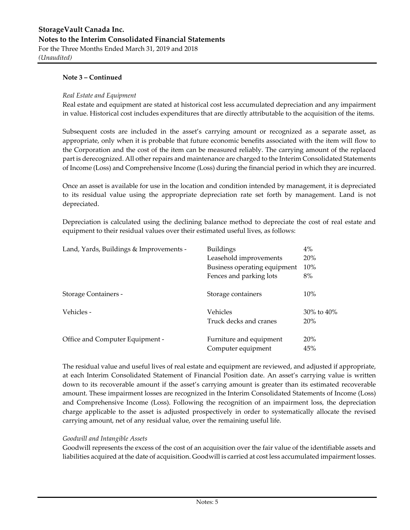#### *Real Estate and Equipment*

Real estate and equipment are stated at historical cost less accumulated depreciation and any impairment in value. Historical cost includes expenditures that are directly attributable to the acquisition of the items.

Subsequent costs are included in the asset's carrying amount or recognized as a separate asset, as appropriate, only when it is probable that future economic benefits associated with the item will flow to the Corporation and the cost of the item can be measured reliably. The carrying amount of the replaced part is derecognized. All other repairs and maintenance are charged to the Interim Consolidated Statements of Income (Loss) and Comprehensive Income (Loss) during the financial period in which they are incurred.

Once an asset is available for use in the location and condition intended by management, it is depreciated to its residual value using the appropriate depreciation rate set forth by management. Land is not depreciated.

Depreciation is calculated using the declining balance method to depreciate the cost of real estate and equipment to their residual values over their estimated useful lives, as follows:

| Land, Yards, Buildings & Improvements - | <b>Buildings</b>             | 4%               |
|-----------------------------------------|------------------------------|------------------|
|                                         | Leasehold improvements       | 20%              |
|                                         | Business operating equipment | 10%              |
|                                         | Fences and parking lots      | 8%               |
| <b>Storage Containers -</b>             | Storage containers           | 10%              |
| Vehicles -                              | Vehicles                     | $30\%$ to $40\%$ |
|                                         | Truck decks and cranes       | 20%              |
| Office and Computer Equipment -         | Furniture and equipment      | 20%              |
|                                         | Computer equipment           | 45%              |

The residual value and useful lives of real estate and equipment are reviewed, and adjusted if appropriate, at each Interim Consolidated Statement of Financial Position date. An asset's carrying value is written down to its recoverable amount if the asset's carrying amount is greater than its estimated recoverable amount. These impairment losses are recognized in the Interim Consolidated Statements of Income (Loss) and Comprehensive Income (Loss). Following the recognition of an impairment loss, the depreciation charge applicable to the asset is adjusted prospectively in order to systematically allocate the revised carrying amount, net of any residual value, over the remaining useful life.

#### *Goodwill and Intangible Assets*

Goodwill represents the excess of the cost of an acquisition over the fair value of the identifiable assets and liabilities acquired at the date of acquisition. Goodwill is carried at cost less accumulated impairment losses.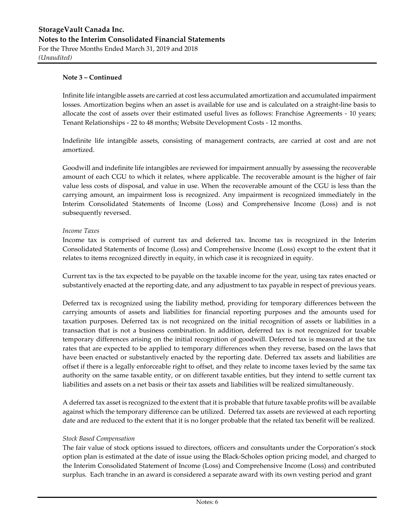Infinite life intangible assets are carried at cost less accumulated amortization and accumulated impairment losses. Amortization begins when an asset is available for use and is calculated on a straight‐line basis to allocate the cost of assets over their estimated useful lives as follows: Franchise Agreements ‐ 10 years; Tenant Relationships ‐ 22 to 48 months; Website Development Costs ‐ 12 months.

Indefinite life intangible assets, consisting of management contracts, are carried at cost and are not amortized.

Goodwill and indefinite life intangibles are reviewed for impairment annually by assessing the recoverable amount of each CGU to which it relates, where applicable. The recoverable amount is the higher of fair value less costs of disposal, and value in use. When the recoverable amount of the CGU is less than the carrying amount, an impairment loss is recognized. Any impairment is recognized immediately in the Interim Consolidated Statements of Income (Loss) and Comprehensive Income (Loss) and is not subsequently reversed.

#### *Income Taxes*

Income tax is comprised of current tax and deferred tax. Income tax is recognized in the Interim Consolidated Statements of Income (Loss) and Comprehensive Income (Loss) except to the extent that it relates to items recognized directly in equity, in which case it is recognized in equity.

Current tax is the tax expected to be payable on the taxable income for the year, using tax rates enacted or substantively enacted at the reporting date, and any adjustment to tax payable in respect of previous years.

Deferred tax is recognized using the liability method, providing for temporary differences between the carrying amounts of assets and liabilities for financial reporting purposes and the amounts used for taxation purposes. Deferred tax is not recognized on the initial recognition of assets or liabilities in a transaction that is not a business combination. In addition, deferred tax is not recognized for taxable temporary differences arising on the initial recognition of goodwill. Deferred tax is measured at the tax rates that are expected to be applied to temporary differences when they reverse, based on the laws that have been enacted or substantively enacted by the reporting date. Deferred tax assets and liabilities are offset if there is a legally enforceable right to offset, and they relate to income taxes levied by the same tax authority on the same taxable entity, or on different taxable entities, but they intend to settle current tax liabilities and assets on a net basis or their tax assets and liabilities will be realized simultaneously.

A deferred tax asset is recognized to the extent that it is probable that future taxable profits will be available against which the temporary difference can be utilized. Deferred tax assets are reviewed at each reporting date and are reduced to the extent that it is no longer probable that the related tax benefit will be realized.

#### *Stock Based Compensation*

The fair value of stock options issued to directors, officers and consultants under the Corporation's stock option plan is estimated at the date of issue using the Black‐Scholes option pricing model, and charged to the Interim Consolidated Statement of Income (Loss) and Comprehensive Income (Loss) and contributed surplus. Each tranche in an award is considered a separate award with its own vesting period and grant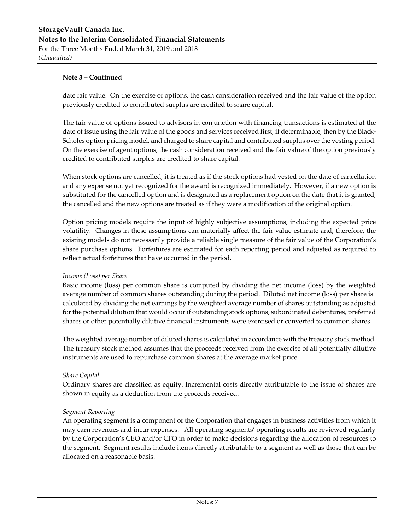date fair value. On the exercise of options, the cash consideration received and the fair value of the option previously credited to contributed surplus are credited to share capital.

The fair value of options issued to advisors in conjunction with financing transactions is estimated at the date of issue using the fair value of the goods and services received first, if determinable, then by the Black-Scholes option pricing model, and charged to share capital and contributed surplus over the vesting period. On the exercise of agent options, the cash consideration received and the fair value of the option previously credited to contributed surplus are credited to share capital.

When stock options are cancelled, it is treated as if the stock options had vested on the date of cancellation and any expense not yet recognized for the award is recognized immediately. However, if a new option is substituted for the cancelled option and is designated as a replacement option on the date that it is granted, the cancelled and the new options are treated as if they were a modification of the original option.

Option pricing models require the input of highly subjective assumptions, including the expected price volatility. Changes in these assumptions can materially affect the fair value estimate and, therefore, the existing models do not necessarily provide a reliable single measure of the fair value of the Corporation's share purchase options. Forfeitures are estimated for each reporting period and adjusted as required to reflect actual forfeitures that have occurred in the period.

#### *Income (Loss) per Share*

Basic income (loss) per common share is computed by dividing the net income (loss) by the weighted average number of common shares outstanding during the period. Diluted net income (loss) per share is calculated by dividing the net earnings by the weighted average number of shares outstanding as adjusted for the potential dilution that would occur if outstanding stock options, subordinated debentures, preferred shares or other potentially dilutive financial instruments were exercised or converted to common shares.

The weighted average number of diluted shares is calculated in accordance with the treasury stock method. The treasury stock method assumes that the proceeds received from the exercise of all potentially dilutive instruments are used to repurchase common shares at the average market price.

#### *Share Capital*

Ordinary shares are classified as equity. Incremental costs directly attributable to the issue of shares are shown in equity as a deduction from the proceeds received.

#### *Segment Reporting*

An operating segment is a component of the Corporation that engages in business activities from which it may earn revenues and incur expenses. All operating segments' operating results are reviewed regularly by the Corporation's CEO and/or CFO in order to make decisions regarding the allocation of resources to the segment. Segment results include items directly attributable to a segment as well as those that can be allocated on a reasonable basis.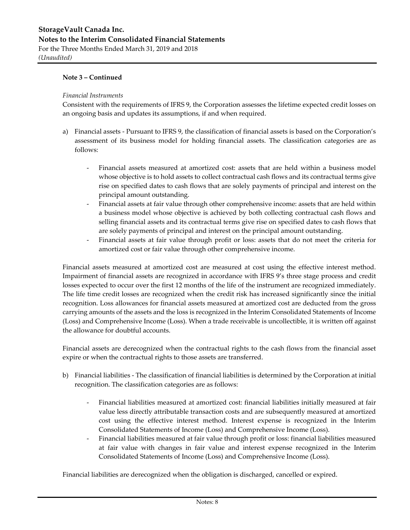#### *Financial Instruments*

Consistent with the requirements of IFRS 9, the Corporation assesses the lifetime expected credit losses on an ongoing basis and updates its assumptions, if and when required.

- a) Financial assets ‐ Pursuant to IFRS 9, the classification of financial assets is based on the Corporation's assessment of its business model for holding financial assets. The classification categories are as follows:
	- Financial assets measured at amortized cost: assets that are held within a business model whose objective is to hold assets to collect contractual cash flows and its contractual terms give rise on specified dates to cash flows that are solely payments of principal and interest on the principal amount outstanding.
	- Financial assets at fair value through other comprehensive income: assets that are held within a business model whose objective is achieved by both collecting contractual cash flows and selling financial assets and its contractual terms give rise on specified dates to cash flows that are solely payments of principal and interest on the principal amount outstanding.
	- Financial assets at fair value through profit or loss: assets that do not meet the criteria for amortized cost or fair value through other comprehensive income.

Financial assets measured at amortized cost are measured at cost using the effective interest method. Impairment of financial assets are recognized in accordance with IFRS 9's three stage process and credit losses expected to occur over the first 12 months of the life of the instrument are recognized immediately. The life time credit losses are recognized when the credit risk has increased significantly since the initial recognition. Loss allowances for financial assets measured at amortized cost are deducted from the gross carrying amounts of the assets and the loss is recognized in the Interim Consolidated Statements of Income (Loss) and Comprehensive Income (Loss). When a trade receivable is uncollectible, it is written off against the allowance for doubtful accounts.

Financial assets are derecognized when the contractual rights to the cash flows from the financial asset expire or when the contractual rights to those assets are transferred.

- b) Financial liabilities ‐ The classification of financial liabilities is determined by the Corporation at initial recognition. The classification categories are as follows:
	- ‐ Financial liabilities measured at amortized cost: financial liabilities initially measured at fair value less directly attributable transaction costs and are subsequently measured at amortized cost using the effective interest method. Interest expense is recognized in the Interim Consolidated Statements of Income (Loss) and Comprehensive Income (Loss).
	- ‐ Financial liabilities measured at fair value through profit or loss: financial liabilities measured at fair value with changes in fair value and interest expense recognized in the Interim Consolidated Statements of Income (Loss) and Comprehensive Income (Loss).

Financial liabilities are derecognized when the obligation is discharged, cancelled or expired.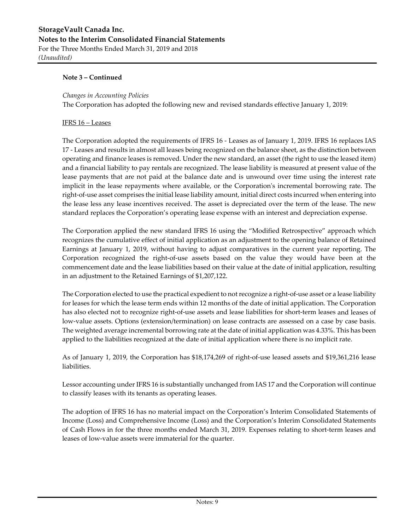#### *Changes in Accounting Policies*

The Corporation has adopted the following new and revised standards effective January 1, 2019:

#### IFRS 16 – Leases

The Corporation adopted the requirements of IFRS 16 ‐ Leases as of January 1, 2019. IFRS 16 replaces IAS 17 ‐ Leases and results in almost all leases being recognized on the balance sheet, as the distinction between operating and finance leases is removed. Under the new standard, an asset (the right to use the leased item) and a financial liability to pay rentals are recognized. The lease liability is measured at present value of the lease payments that are not paid at the balance date and is unwound over time using the interest rate implicit in the lease repayments where available, or the Corporation's incremental borrowing rate. The right-of-use asset comprises the initial lease liability amount, initial direct costs incurred when entering into the lease less any lease incentives received. The asset is depreciated over the term of the lease. The new standard replaces the Corporation's operating lease expense with an interest and depreciation expense.

The Corporation applied the new standard IFRS 16 using the "Modified Retrospective" approach which recognizes the cumulative effect of initial application as an adjustment to the opening balance of Retained Earnings at January 1, 2019, without having to adjust comparatives in the current year reporting. The Corporation recognized the right‐of‐use assets based on the value they would have been at the commencement date and the lease liabilities based on their value at the date of initial application, resulting in an adjustment to the Retained Earnings of \$1,207,122.

The Corporation elected to use the practical expedient to not recognize a right-of-use asset or a lease liability for leases for which the lease term ends within 12 months of the date of initial application. The Corporation has also elected not to recognize right-of-use assets and lease liabilities for short-term leases and leases of low-value assets. Options (extension/termination) on lease contracts are assessed on a case by case basis. The weighted average incremental borrowing rate at the date of initial application was 4.33%. This has been applied to the liabilities recognized at the date of initial application where there is no implicit rate.

As of January 1, 2019, the Corporation has \$18,174,269 of right‐of‐use leased assets and \$19,361,216 lease liabilities.

Lessor accounting under IFRS 16 is substantially unchanged from IAS 17 and the Corporation will continue to classify leases with its tenants as operating leases.

The adoption of IFRS 16 has no material impact on the Corporation's Interim Consolidated Statements of Income (Loss) and Comprehensive Income (Loss) and the Corporation's Interim Consolidated Statements of Cash Flows in for the three months ended March 31, 2019. Expenses relating to short-term leases and leases of low-value assets were immaterial for the quarter.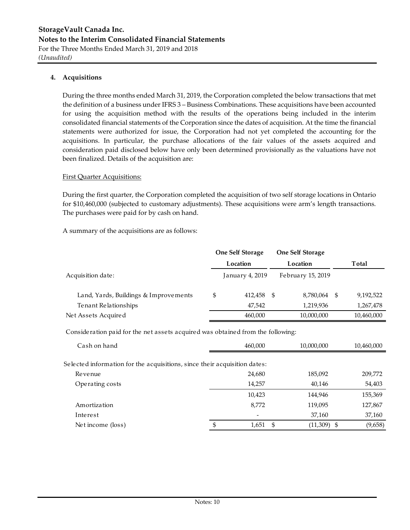#### **4. Acquisitions**

During the three months ended March 31, 2019, the Corporation completed the below transactions that met the definition of a business under IFRS 3 – Business Combinations. These acquisitions have been accounted for using the acquisition method with the results of the operations being included in the interim consolidated financial statements of the Corporation since the dates of acquisition. At the time the financial statements were authorized for issue, the Corporation had not yet completed the accounting for the acquisitions. In particular, the purchase allocations of the fair values of the assets acquired and consideration paid disclosed below have only been determined provisionally as the valuations have not been finalized. Details of the acquisition are:

#### First Quarter Acquisitions:

During the first quarter, the Corporation completed the acquisition of two self storage locations in Ontario for \$10,460,000 (subjected to customary adjustments). These acquisitions were arm's length transactions. The purchases were paid for by cash on hand.

A summary of the acquisitions are as follows:

|                                       | <b>One Self Storage</b> |     | <b>One Self Storage</b> |                 |
|---------------------------------------|-------------------------|-----|-------------------------|-----------------|
|                                       | Location                |     | Location                | Total           |
| Acquisition date:                     | January 4, 2019         |     | February 15, 2019       |                 |
| Land, Yards, Buildings & Improvements | \$<br>412,458           | - S | 8,780,064               | \$<br>9,192,522 |
| Tenant Relationships                  | 47.542                  |     | 1,219,936               | 1,267,478       |
| Net Assets Acquired                   | 460,000                 |     | 10,000,000              | 10,460,000      |

Consideration paid for the net assets acquired was obtained from the following:

| Cash on hand                                                              |   | 460,000      | 10,000,000    | 10,460,000 |
|---------------------------------------------------------------------------|---|--------------|---------------|------------|
| Selected information for the acquisitions, since their acquisition dates: |   |              |               |            |
| Revenue                                                                   |   | 24,680       | 185,092       | 209,772    |
| Operating costs                                                           |   | 14,257       | 40,146        | 54,403     |
|                                                                           |   | 10,423       | 144,946       | 155,369    |
| Amortization                                                              |   | 8,772        | 119,095       | 127,867    |
| Interest                                                                  |   |              | 37,160        | 37,160     |
| Net income (loss)                                                         | S | 1,651<br>-\$ | $(11,309)$ \$ | (9,658)    |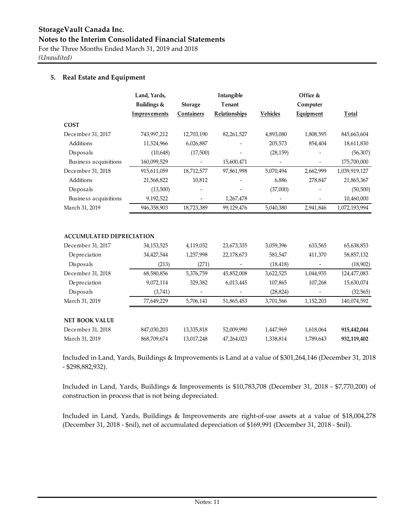#### **5. Real Estate and Equipment**

|                                   | Land, Yards,<br>Buildings &                             | <b>Storage</b>                                  | Intangible<br>Tenant |                             | Office &<br>Computer               |                                                                                                                                                                                                                                                                                                                                                                                                    |
|-----------------------------------|---------------------------------------------------------|-------------------------------------------------|----------------------|-----------------------------|------------------------------------|----------------------------------------------------------------------------------------------------------------------------------------------------------------------------------------------------------------------------------------------------------------------------------------------------------------------------------------------------------------------------------------------------|
|                                   | Improvements                                            | Containers                                      | <b>Relationships</b> | <b>Vehicles</b>             | <b>Equipment</b>                   | <u>Total</u>                                                                                                                                                                                                                                                                                                                                                                                       |
| <b>COST</b>                       |                                                         |                                                 |                      |                             |                                    |                                                                                                                                                                                                                                                                                                                                                                                                    |
| December 31, 2017                 | 743,997,212                                             | 12,703,190                                      | 82,261,527           | 4,893,080                   | 1,808,595                          | 845,663,604                                                                                                                                                                                                                                                                                                                                                                                        |
| Additions                         | 11,524,966                                              | 6,026,887                                       |                      | 205,573                     | 854,404                            | 18,611,830                                                                                                                                                                                                                                                                                                                                                                                         |
| Disposals                         | (10,648)                                                | (17,500)                                        |                      | (28, 159)                   |                                    | (56, 307)                                                                                                                                                                                                                                                                                                                                                                                          |
| Business acquisitions             | 160,099,529                                             |                                                 | 15,600,471           |                             | $\overline{\phantom{a}}$           | 175,700,000                                                                                                                                                                                                                                                                                                                                                                                        |
| December 31, 2018                 | 915,611,059                                             | 18,712,577                                      | 97,861,998           | 5,070,494                   | 2,662,999                          | 1,039,919,127                                                                                                                                                                                                                                                                                                                                                                                      |
| Additions                         | 21,568,822                                              | 10,812                                          |                      | 6,886                       | 278,847                            | 21,865,367                                                                                                                                                                                                                                                                                                                                                                                         |
| Disposals                         | (13,500)                                                |                                                 |                      | (37,000)                    |                                    | (50, 500)                                                                                                                                                                                                                                                                                                                                                                                          |
| Business acquisitions             | 9,192,522                                               |                                                 | 1,267,478            |                             |                                    | 10,460,000                                                                                                                                                                                                                                                                                                                                                                                         |
| March 31, 2019                    | 946,358,903                                             | 18,723,389                                      | 99,129,476           | 5,040,380                   | 2,941,846                          | 1,072,193,994                                                                                                                                                                                                                                                                                                                                                                                      |
|                                   |                                                         |                                                 |                      |                             |                                    |                                                                                                                                                                                                                                                                                                                                                                                                    |
| <b>ACCUMULATED DEPRECIATION</b>   |                                                         |                                                 |                      |                             |                                    |                                                                                                                                                                                                                                                                                                                                                                                                    |
| December 31, 2017<br>$\mathbf{r}$ | 34,153,525<br>$\sim$ $\sim$ $\sim$ $\sim$ $\sim$ $\sim$ | 4,119,032<br>$\sim$ $\sim$ $\sim$ $\sim$ $\sim$ | 23,673,335<br>22.772 | 3,059,396<br>$=0.4$ $= 1.7$ | 633,565<br>$\mathbf{A} \mathbf{A}$ | 65,638,853<br>$\overline{z}$ $\overline{z}$ $\overline{z}$ $\overline{z}$ $\overline{z}$ $\overline{z}$ $\overline{z}$ $\overline{z}$ $\overline{z}$ $\overline{z}$ $\overline{z}$ $\overline{z}$ $\overline{z}$ $\overline{z}$ $\overline{z}$ $\overline{z}$ $\overline{z}$ $\overline{z}$ $\overline{z}$ $\overline{z}$ $\overline{z}$ $\overline{z}$ $\overline{z}$ $\overline{z}$ $\overline{$ |

| Depreciation          | 34,427,544  | 1,257,998  | 22,178,673 | 581,547   | 411,370   | 58,857,132  |
|-----------------------|-------------|------------|------------|-----------|-----------|-------------|
| Disposals             | (213)       | (271)      |            | (18, 418) |           | (18,902)    |
| December 31, 2018     | 68,580,856  | 5,376,759  | 45,852,008 | 3,622,525 | 1,044,935 | 124,477,083 |
| Depreciation          | 9,072,114   | 329,382    | 6,013,445  | 107,865   | 107,268   | 15,630,074  |
| Disposals             | (3,741)     |            |            | (28, 824) |           | (32, 565)   |
| March 31, 2019        | 77,649,229  | 5,706,141  | 51,865,453 | 3,701,566 | 1,152,203 | 140,074,592 |
| <b>NET BOOK VALUE</b> |             |            |            |           |           |             |
| December 31, 2018     | 847,030,203 | 13,335,818 | 52,009,990 | 1,447,969 | 1,618,064 | 915,442,044 |
| March 31, 2019        | 868,709,674 | 13,017,248 | 47,264,023 | 1,338,814 | 1,789,643 | 932,119,402 |

Included in Land, Yards, Buildings & Improvements is Land at a value of \$301,264,146 (December 31, 2018 ‐ \$298,882,932).

Included in Land, Yards, Buildings & Improvements is \$10,783,708 (December 31, 2018 ‐ \$7,770,200) of construction in process that is not being depreciated.

Included in Land, Yards, Buildings & Improvements are right‐of‐use assets at a value of \$18,004,278 (December 31, 2018 ‐ \$nil), net of accumulated depreciation of \$169,991 (December 31, 2018 ‐ \$nil).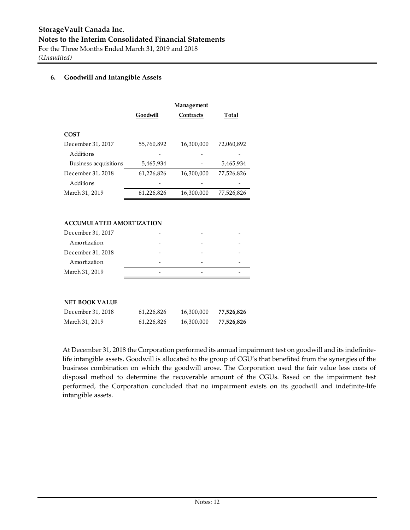#### **6. Goodwill and Intangible Assets**

|                       |            | Management |            |
|-----------------------|------------|------------|------------|
|                       | Goodwill   | Contracts  | Total      |
|                       |            |            |            |
| <b>COST</b>           |            |            |            |
| December 31, 2017     | 55,760,892 | 16,300,000 | 72,060,892 |
| Additions             |            |            |            |
| Business acquisitions | 5,465,934  |            | 5,465,934  |
| December 31, 2018     | 61,226,826 | 16,300,000 | 77,526,826 |
| Additions             |            |            |            |
| March 31, 2019        | 61,226,826 | 16,300,000 | 77,526,826 |

#### **ACCUMULATED AMORTIZATION**

| December 31, 2017 |  |  |
|-------------------|--|--|
| Amortization      |  |  |
| December 31, 2018 |  |  |
| Amortization      |  |  |
| March 31, 2019    |  |  |
|                   |  |  |

#### **NET BOOK VALUE**

| December 31, 2018 | 61.226.826 | 16,300,000 | 77,526,826 |
|-------------------|------------|------------|------------|
| March 31, 2019    | 61,226,826 | 16,300,000 | 77,526,826 |

At December 31, 2018 the Corporation performed its annual impairment test on goodwill and its indefinitelife intangible assets. Goodwill is allocated to the group of CGU's that benefited from the synergies of the business combination on which the goodwill arose. The Corporation used the fair value less costs of disposal method to determine the recoverable amount of the CGUs. Based on the impairment test performed, the Corporation concluded that no impairment exists on its goodwill and indefinite-life intangible assets.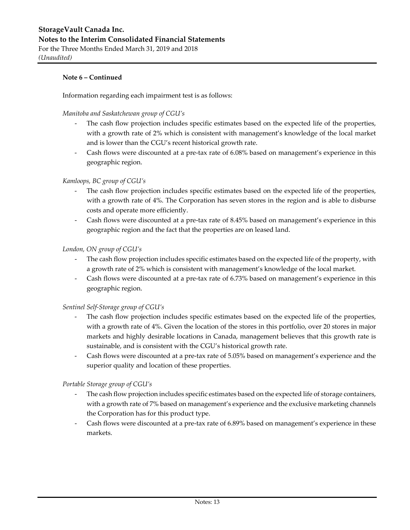Information regarding each impairment test is as follows:

*Manitoba and Saskatchewan group of CGU's*

- The cash flow projection includes specific estimates based on the expected life of the properties, with a growth rate of 2% which is consistent with management's knowledge of the local market and is lower than the CGU's recent historical growth rate.
- ‐ Cash flows were discounted at a pre‐tax rate of 6.08% based on management's experience in this geographic region.

#### *Kamloops, BC group of CGU's*

- The cash flow projection includes specific estimates based on the expected life of the properties, with a growth rate of 4%. The Corporation has seven stores in the region and is able to disburse costs and operate more efficiently.
- ‐ Cash flows were discounted at a pre‐tax rate of 8.45% based on management's experience in this geographic region and the fact that the properties are on leased land.

#### *London, ON group of CGU's*

- The cash flow projection includes specific estimates based on the expected life of the property, with a growth rate of 2% which is consistent with management's knowledge of the local market.
- ‐ Cash flows were discounted at a pre‐tax rate of 6.73% based on management's experience in this geographic region.

#### *Sentinel Self‐Storage group of CGU's*

- The cash flow projection includes specific estimates based on the expected life of the properties, with a growth rate of 4%. Given the location of the stores in this portfolio, over 20 stores in major markets and highly desirable locations in Canada, management believes that this growth rate is sustainable, and is consistent with the CGU's historical growth rate.
- ‐ Cash flows were discounted at a pre‐tax rate of 5.05% based on management's experience and the superior quality and location of these properties.

#### *Portable Storage group of CGU's*

- The cash flow projection includes specific estimates based on the expected life of storage containers, with a growth rate of 7% based on management's experience and the exclusive marketing channels the Corporation has for this product type.
- Cash flows were discounted at a pre-tax rate of 6.89% based on management's experience in these markets.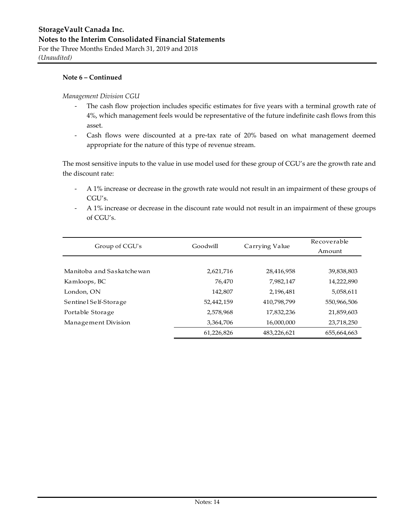#### *Management Division CGU*

- The cash flow projection includes specific estimates for five years with a terminal growth rate of 4%, which management feels would be representative of the future indefinite cash flows from this asset.
- ‐ Cash flows were discounted at a pre‐tax rate of 20% based on what management deemed appropriate for the nature of this type of revenue stream.

The most sensitive inputs to the value in use model used for these group of CGU's are the growth rate and the discount rate:

- ‐ A 1% increase or decrease in the growth rate would not result in an impairment of these groups of CGU's.
- ‐ A 1% increase or decrease in the discount rate would not result in an impairment of these groups of CGU's.

| Group of CGU's            | Goodwill   | Carrying Value | Recoverable<br>Amount |
|---------------------------|------------|----------------|-----------------------|
|                           |            |                |                       |
| Manitoba and Saskatchewan | 2,621,716  | 28,416,958     | 39,838,803            |
| Kamloops, BC              | 76.470     | 7,982,147      | 14,222,890            |
| London, ON                | 142,807    | 2,196,481      | 5,058,611             |
| Sentinel Self-Storage     | 52,442,159 | 410,798,799    | 550,966,506           |
| Portable Storage          | 2,578,968  | 17,832,236     | 21,859,603            |
| Management Division       | 3,364,706  | 16,000,000     | 23,718,250            |
|                           | 61,226,826 | 483,226,621    | 655,664,663           |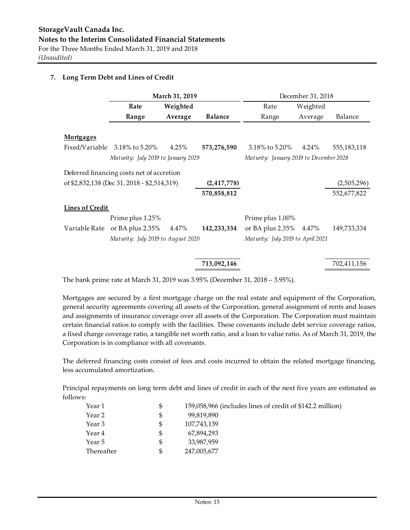#### **7. Long Term Debt and Lines of Credit**

|                        |                                             | March 31, 2019 |                |                                         | December 31, 2018 |             |
|------------------------|---------------------------------------------|----------------|----------------|-----------------------------------------|-------------------|-------------|
|                        | Rate                                        | Weighted       |                | Rate                                    | Weighted          |             |
|                        | Range                                       | Average        | <b>Balance</b> | Range                                   | Average           | Balance     |
| <b>Mortgages</b>       |                                             |                |                |                                         |                   |             |
| Fixed/Variable         | 3.18% to 5.20%                              | 4.25%          | 573,276,590    | 3.18% to 5.20%                          | $4.24\%$          | 555,183,118 |
|                        | Maturity: July 2019 to January 2029         |                |                | Maturity: January 2019 to December 2028 |                   |             |
|                        | Deferred financing costs net of accretion   |                |                |                                         |                   |             |
|                        | of \$2,832,138 (Dec 31, 2018 - \$2,514,319) |                | (2, 417, 778)  |                                         |                   | (2,505,296) |
|                        |                                             |                | 570,858,812    |                                         |                   | 552,677,822 |
| <b>Lines of Credit</b> |                                             |                |                |                                         |                   |             |
|                        | Prime plus 1.25%                            |                |                | Prime plus 1.00%                        |                   |             |
| Variable Rate          | or BA plus $2.35\%$                         | 4.47%          | 142,233,334    | or BA plus 2.35% 4.47%                  |                   | 149,733,334 |
|                        | Maturity: July 2019 to August 2020          |                |                | Maturity: July 2019 to April 2021       |                   |             |
|                        |                                             |                |                |                                         |                   |             |

The bank prime rate at March 31, 2019 was 3.95% (December 31, 2018 – 3.95%).

Mortgages are secured by a first mortgage charge on the real estate and equipment of the Corporation, general security agreements covering all assets of the Corporation, general assignment of rents and leases and assignments of insurance coverage over all assets of the Corporation. The Corporation must maintain certain financial ratios to comply with the facilities. These covenants include debt service coverage ratios, a fixed charge coverage ratio, a tangible net worth ratio, and a loan to value ratio. As of March 31, 2019, the Corporation is in compliance with all covenants.

 **713,092,146** 702,411,156

The deferred financing costs consist of fees and costs incurred to obtain the related mortgage financing, less accumulated amortization.

Principal repayments on long term debt and lines of credit in each of the next five years are estimated as follows:

| Year 1            | \$  | 159,058,966 (includes lines of credit of \$142.2 million) |
|-------------------|-----|-----------------------------------------------------------|
| Year 2            | S   | 99,819,890                                                |
| Year 3            | S   | 107,743,139                                               |
| Year 4            | \$. | 67.894.293                                                |
| Year 5            | \$  | 33,987,959                                                |
| <b>Thereafter</b> | \$. | 247,005,677                                               |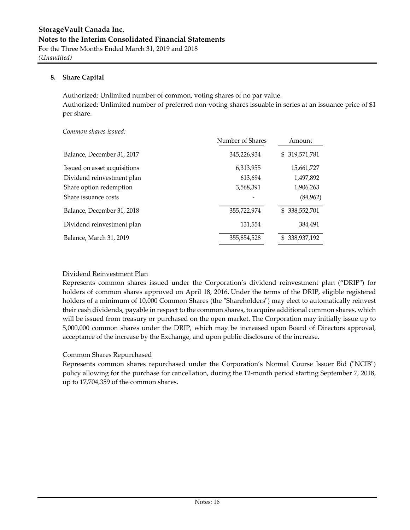#### **8. Share Capital**

Authorized: Unlimited number of common, voting shares of no par value. Authorized: Unlimited number of preferred non‐voting shares issuable in series at an issuance price of \$1 per share.

*Common shares issued:* 

|                              | Number of Shares | Amount             |
|------------------------------|------------------|--------------------|
| Balance, December 31, 2017   | 345,226,934      | \$319,571,781      |
| Issued on asset acquisitions | 6,313,955        | 15,661,727         |
| Dividend reinvestment plan   | 613,694          | 1,497,892          |
| Share option redemption      | 3,568,391        | 1,906,263          |
| Share issuance costs         |                  | (84, 962)          |
| Balance, December 31, 2018   | 355,722,974      | 338,552,701<br>SS. |
| Dividend reinvestment plan   | 131,554          | 384,491            |
| Balance, March 31, 2019      | 355,854,528      | 338,937,192<br>S   |

#### Dividend Reinvestment Plan

Represents common shares issued under the Corporation's dividend reinvestment plan ("DRIP") for holders of common shares approved on April 18, 2016. Under the terms of the DRIP, eligible registered holders of a minimum of 10,000 Common Shares (the "Shareholders") may elect to automatically reinvest their cash dividends, payable in respect to the common shares, to acquire additional common shares, which will be issued from treasury or purchased on the open market. The Corporation may initially issue up to 5,000,000 common shares under the DRIP, which may be increased upon Board of Directors approval, acceptance of the increase by the Exchange, and upon public disclosure of the increase.

#### Common Shares Repurchased

Represents common shares repurchased under the Corporation's Normal Course Issuer Bid ("NCIB") policy allowing for the purchase for cancellation, during the 12‐month period starting September 7, 2018, up to 17,704,359 of the common shares.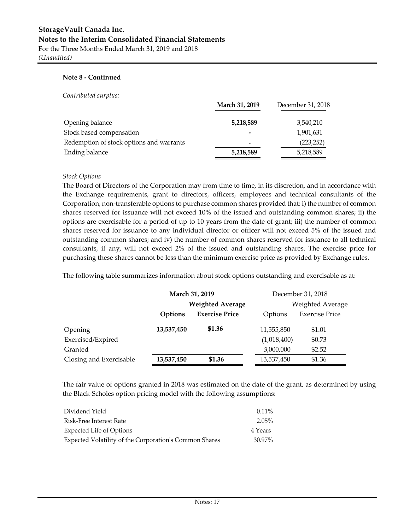#### **Note 8 ‐ Continued**

#### *Contributed surplus:*

|                                          | March 31, 2019 | December 31, 2018 |
|------------------------------------------|----------------|-------------------|
| Opening balance                          | 5,218,589      | 3,540,210         |
| Stock based compensation                 |                | 1,901,631         |
| Redemption of stock options and warrants | -              | (223, 252)        |
| Ending balance                           | 5,218,589      | 5,218,589         |
|                                          |                |                   |

#### *Stock Options*

The Board of Directors of the Corporation may from time to time, in its discretion, and in accordance with the Exchange requirements, grant to directors, officers, employees and technical consultants of the Corporation, non‐transferable options to purchase common shares provided that: i) the number of common shares reserved for issuance will not exceed 10% of the issued and outstanding common shares; ii) the options are exercisable for a period of up to 10 years from the date of grant; iii) the number of common shares reserved for issuance to any individual director or officer will not exceed 5% of the issued and outstanding common shares; and iv) the number of common shares reserved for issuance to all technical consultants, if any, will not exceed 2% of the issued and outstanding shares. The exercise price for purchasing these shares cannot be less than the minimum exercise price as provided by Exchange rules.

The following table summarizes information about stock options outstanding and exercisable as at:

|                         |                         | March 31, 2019        |                | December 31, 2018     |
|-------------------------|-------------------------|-----------------------|----------------|-----------------------|
|                         | <b>Weighted Average</b> |                       |                | Weighted Average      |
|                         | <b>Options</b>          | <b>Exercise Price</b> | <b>Options</b> | <b>Exercise Price</b> |
| Opening                 | 13,537,450              | \$1.36                | 11,555,850     | \$1.01                |
| Exercised/Expired       |                         |                       | (1,018,400)    | \$0.73                |
| Granted                 |                         |                       | 3,000,000      | \$2.52                |
| Closing and Exercisable | 13,537,450              | \$1.36                | 13,537,450     | \$1.36                |

The fair value of options granted in 2018 was estimated on the date of the grant, as determined by using the Black‐Scholes option pricing model with the following assumptions:

| Dividend Yield                                         | $0.11\%$ |
|--------------------------------------------------------|----------|
| Risk-Free Interest Rate                                | 2.05%    |
| Expected Life of Options                               | 4 Years  |
| Expected Volatility of the Corporation's Common Shares | 30.97%   |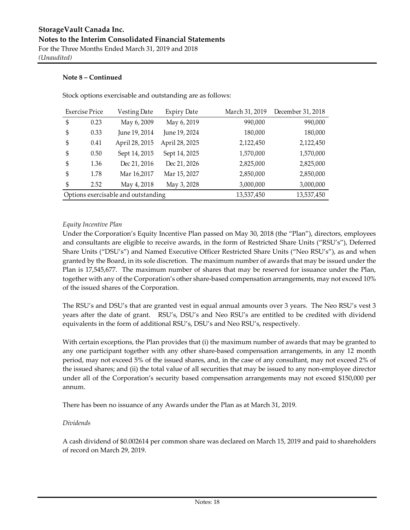Stock options exercisable and outstanding are as follows:

| <b>Exercise Price</b> | Vesting Date                        | <b>Expiry Date</b> | March 31, 2019 | December 31, 2018 |
|-----------------------|-------------------------------------|--------------------|----------------|-------------------|
| \$<br>0.23            | May 6, 2009                         | May 6, 2019        | 990,000        | 990,000           |
| \$<br>0.33            | June 19, 2014                       | June 19, 2024      | 180,000        | 180,000           |
| \$<br>0.41            | April 28, 2015                      | April 28, 2025     | 2,122,450      | 2,122,450         |
| \$<br>0.50            | Sept 14, 2015                       | Sept 14, 2025      | 1,570,000      | 1,570,000         |
| \$<br>1.36            | Dec 21, 2016                        | Dec 21, 2026       | 2,825,000      | 2,825,000         |
| \$<br>1.78            | Mar 16,2017                         | Mar 15, 2027       | 2,850,000      | 2,850,000         |
| \$<br>2.52            | May 4, 2018                         | May 3, 2028        | 3,000,000      | 3,000,000         |
|                       | Options exercisable and outstanding |                    | 13,537,450     | 13,537,450        |

#### *Equity Incentive Plan*

Under the Corporation's Equity Incentive Plan passed on May 30, 2018 (the "Plan"), directors, employees and consultants are eligible to receive awards, in the form of Restricted Share Units ("RSU's"), Deferred Share Units ("DSU's") and Named Executive Officer Restricted Share Units ("Neo RSU's"), as and when granted by the Board, in its sole discretion. The maximum number of awards that may be issued under the Plan is 17,545,677. The maximum number of shares that may be reserved for issuance under the Plan, together with any of the Corporation's other share-based compensation arrangements, may not exceed 10% of the issued shares of the Corporation.

The RSU's and DSU's that are granted vest in equal annual amounts over 3 years. The Neo RSU's vest 3 years after the date of grant. RSU's, DSU's and Neo RSU's are entitled to be credited with dividend equivalents in the form of additional RSU's, DSU's and Neo RSU's, respectively.

With certain exceptions, the Plan provides that (i) the maximum number of awards that may be granted to any one participant together with any other share‐based compensation arrangements, in any 12 month period, may not exceed 5% of the issued shares, and, in the case of any consultant, may not exceed 2% of the issued shares; and (ii) the total value of all securities that may be issued to any non‐employee director under all of the Corporation's security based compensation arrangements may not exceed \$150,000 per annum.

There has been no issuance of any Awards under the Plan as at March 31, 2019.

#### *Dividends*

A cash dividend of \$0.002614 per common share was declared on March 15, 2019 and paid to shareholders of record on March 29, 2019.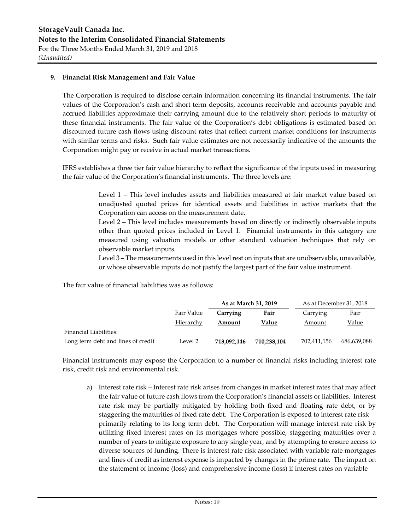#### **9. Financial Risk Management and Fair Value**

The Corporation is required to disclose certain information concerning its financial instruments. The fair values of the Corporation's cash and short term deposits, accounts receivable and accounts payable and accrued liabilities approximate their carrying amount due to the relatively short periods to maturity of these financial instruments. The fair value of the Corporation's debt obligations is estimated based on discounted future cash flows using discount rates that reflect current market conditions for instruments with similar terms and risks. Such fair value estimates are not necessarily indicative of the amounts the Corporation might pay or receive in actual market transactions.

IFRS establishes a three tier fair value hierarchy to reflect the significance of the inputs used in measuring the fair value of the Corporation's financial instruments. The three levels are:

> Level 1 – This level includes assets and liabilities measured at fair market value based on unadjusted quoted prices for identical assets and liabilities in active markets that the Corporation can access on the measurement date.

> Level 2 – This level includes measurements based on directly or indirectly observable inputs other than quoted prices included in Level 1. Financial instruments in this category are measured using valuation models or other standard valuation techniques that rely on observable market inputs.

> Level 3 – The measurements used in this level rest on inputs that are unobservable, unavailable, or whose observable inputs do not justify the largest part of the fair value instrument.

The fair value of financial liabilities was as follows:

|                                    |            | As at March 31, 2019 |             | As at December 31, 2018 |             |
|------------------------------------|------------|----------------------|-------------|-------------------------|-------------|
|                                    | Fair Value | Carrying             | Fair        | Carrying                | Fair        |
|                                    | Hierarchy  | Amount               | Value       | Amount                  | Value       |
| Financial Liabilities:             |            |                      |             |                         |             |
| Long term debt and lines of credit | Level 2    | 713.092.146          | 710,238,104 | 702,411,156             | 686,639,088 |

Financial instruments may expose the Corporation to a number of financial risks including interest rate risk, credit risk and environmental risk.

a) Interest rate risk – Interest rate risk arises from changes in market interest rates that may affect the fair value of future cash flows from the Corporation's financial assets or liabilities. Interest rate risk may be partially mitigated by holding both fixed and floating rate debt, or by staggering the maturities of fixed rate debt. The Corporation is exposed to interest rate risk primarily relating to its long term debt. The Corporation will manage interest rate risk by utilizing fixed interest rates on its mortgages where possible, staggering maturities over a number of years to mitigate exposure to any single year, and by attempting to ensure access to diverse sources of funding. There is interest rate risk associated with variable rate mortgages and lines of credit as interest expense is impacted by changes in the prime rate. The impact on the statement of income (loss) and comprehensive income (loss) if interest rates on variable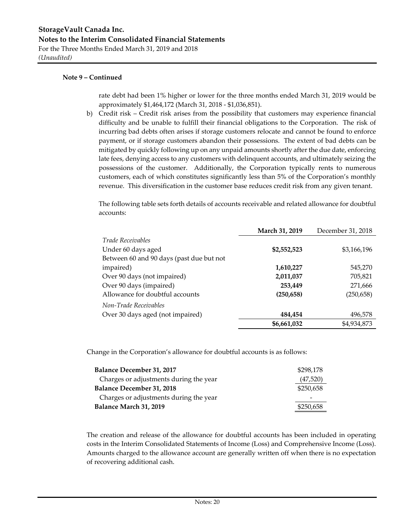rate debt had been 1% higher or lower for the three months ended March 31, 2019 would be approximately \$1,464,172 (March 31, 2018 ‐ \$1,036,851).

b) Credit risk – Credit risk arises from the possibility that customers may experience financial difficulty and be unable to fulfill their financial obligations to the Corporation. The risk of incurring bad debts often arises if storage customers relocate and cannot be found to enforce payment, or if storage customers abandon their possessions. The extent of bad debts can be mitigated by quickly following up on any unpaid amounts shortly after the due date, enforcing late fees, denying access to any customers with delinquent accounts, and ultimately seizing the possessions of the customer. Additionally, the Corporation typically rents to numerous customers, each of which constitutes significantly less than 5% of the Corporation's monthly revenue. This diversification in the customer base reduces credit risk from any given tenant.

The following table sets forth details of accounts receivable and related allowance for doubtful accounts:

|                                          | March 31, 2019 | December 31, 2018 |
|------------------------------------------|----------------|-------------------|
| <i>Trade Receivables</i>                 |                |                   |
| Under 60 days aged                       | \$2,552,523    | \$3,166,196       |
| Between 60 and 90 days (past due but not |                |                   |
| impaired)                                | 1,610,227      | 545,270           |
| Over 90 days (not impaired)              | 2,011,037      | 705,821           |
| Over 90 days (impaired)                  | 253,449        | 271,666           |
| Allowance for doubtful accounts          | (250, 658)     | (250, 658)        |
| Non-Trade Receivables                    |                |                   |
| Over 30 days aged (not impaired)         | 484,454        | 496,578           |
|                                          | \$6,661,032    | \$4,934,873       |

Change in the Corporation's allowance for doubtful accounts is as follows:

| <b>Balance December 31, 2017</b>       | \$298,178 |
|----------------------------------------|-----------|
| Charges or adjustments during the year | (47,520)  |
| <b>Balance December 31, 2018</b>       | \$250,658 |
| Charges or adjustments during the year |           |
| Balance March 31, 2019                 | \$250,658 |

The creation and release of the allowance for doubtful accounts has been included in operating costs in the Interim Consolidated Statements of Income (Loss) and Comprehensive Income (Loss). Amounts charged to the allowance account are generally written off when there is no expectation of recovering additional cash.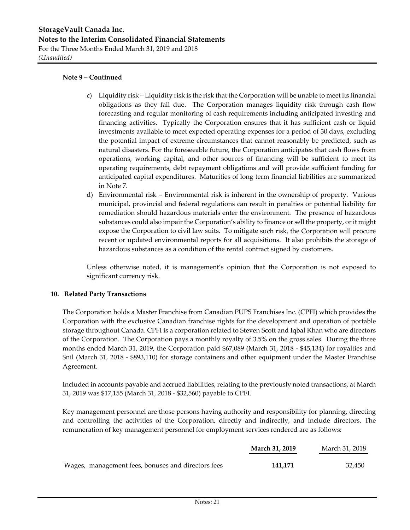- c) Liquidity risk Liquidity risk is the risk that the Corporation will be unable to meet its financial obligations as they fall due. The Corporation manages liquidity risk through cash flow forecasting and regular monitoring of cash requirements including anticipated investing and financing activities. Typically the Corporation ensures that it has sufficient cash or liquid investments available to meet expected operating expenses for a period of 30 days, excluding the potential impact of extreme circumstances that cannot reasonably be predicted, such as natural disasters. For the foreseeable future, the Corporation anticipates that cash flows from operations, working capital, and other sources of financing will be sufficient to meet its operating requirements, debt repayment obligations and will provide sufficient funding for anticipated capital expenditures. Maturities of long term financial liabilities are summarized in Note 7.
- d) Environmental risk Environmental risk is inherent in the ownership of property. Various municipal, provincial and federal regulations can result in penalties or potential liability for remediation should hazardous materials enter the environment. The presence of hazardous substances could also impair the Corporation's ability to finance or sell the property, or it might expose the Corporation to civil law suits. To mitigate such risk, the Corporation will procure recent or updated environmental reports for all acquisitions. It also prohibits the storage of hazardous substances as a condition of the rental contract signed by customers.

Unless otherwise noted, it is management's opinion that the Corporation is not exposed to significant currency risk.

#### **10. Related Party Transactions**

The Corporation holds a Master Franchise from Canadian PUPS Franchises Inc. (CPFI) which provides the Corporation with the exclusive Canadian franchise rights for the development and operation of portable storage throughout Canada. CPFI is a corporation related to Steven Scott and Iqbal Khan who are directors of the Corporation. The Corporation pays a monthly royalty of 3.5% on the gross sales. During the three months ended March 31, 2019, the Corporation paid \$67,089 (March 31, 2018 ‐ \$45,134) for royalties and \$nil (March 31, 2018 ‐ \$893,110) for storage containers and other equipment under the Master Franchise Agreement.

Included in accounts payable and accrued liabilities, relating to the previously noted transactions, at March 31, 2019 was \$17,155 (March 31, 2018 ‐ \$32,560) payable to CPFI.

Key management personnel are those persons having authority and responsibility for planning, directing and controlling the activities of the Corporation, directly and indirectly, and include directors. The remuneration of key management personnel for employment services rendered are as follows:

|                                                    | March 31, 2019 | March 31, 2018 |
|----------------------------------------------------|----------------|----------------|
| Wages, management fees, bonuses and directors fees | 141.171        | 32.450         |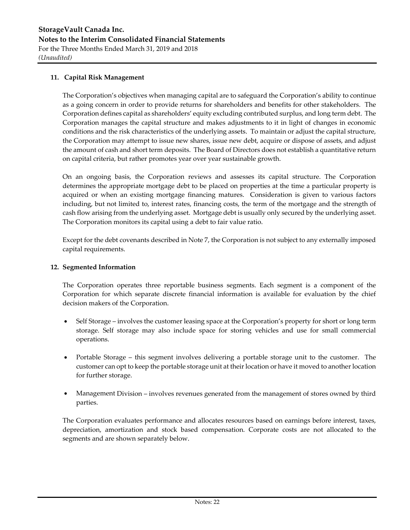#### **11. Capital Risk Management**

The Corporation's objectives when managing capital are to safeguard the Corporation's ability to continue as a going concern in order to provide returns for shareholders and benefits for other stakeholders. The Corporation defines capital as shareholders' equity excluding contributed surplus, and long term debt. The Corporation manages the capital structure and makes adjustments to it in light of changes in economic conditions and the risk characteristics of the underlying assets. To maintain or adjust the capital structure, the Corporation may attempt to issue new shares, issue new debt, acquire or dispose of assets, and adjust the amount of cash and short term deposits. The Board of Directors does not establish a quantitative return on capital criteria, but rather promotes year over year sustainable growth.

On an ongoing basis, the Corporation reviews and assesses its capital structure. The Corporation determines the appropriate mortgage debt to be placed on properties at the time a particular property is acquired or when an existing mortgage financing matures. Consideration is given to various factors including, but not limited to, interest rates, financing costs, the term of the mortgage and the strength of cash flow arising from the underlying asset. Mortgage debt is usually only secured by the underlying asset. The Corporation monitors its capital using a debt to fair value ratio.

Except for the debt covenants described in Note 7, the Corporation is not subject to any externally imposed capital requirements.

#### **12. Segmented Information**

The Corporation operates three reportable business segments. Each segment is a component of the Corporation for which separate discrete financial information is available for evaluation by the chief decision makers of the Corporation.

- Self Storage involves the customer leasing space at the Corporation's property for short or long term storage. Self storage may also include space for storing vehicles and use for small commercial operations.
- Portable Storage this segment involves delivering a portable storage unit to the customer. The customer can opt to keep the portable storage unit at their location or have it moved to another location for further storage.
- Management Division involves revenues generated from the management of stores owned by third parties.

The Corporation evaluates performance and allocates resources based on earnings before interest, taxes, depreciation, amortization and stock based compensation. Corporate costs are not allocated to the segments and are shown separately below.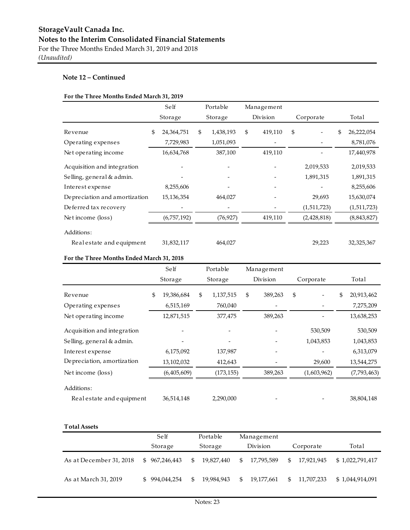#### **For the Three Months Ended March 31, 2019**

|                                | Self             | Portable        | Management    |             |                  |
|--------------------------------|------------------|-----------------|---------------|-------------|------------------|
|                                | Storage          | Storage         | Division      | Corporate   | Total            |
| Revenue                        | \$<br>24,364,751 | \$<br>1,438,193 | \$<br>419,110 | \$          | \$<br>26,222,054 |
| Operating expenses             | 7,729,983        | 1,051,093       |               |             | 8,781,076        |
| Net operating income           | 16,634,768       | 387,100         | 419,110       |             | 17,440,978       |
| Acquisition and integration    |                  |                 |               | 2,019,533   | 2,019,533        |
| Selling, general & admin.      |                  |                 |               | 1,891,315   | 1,891,315        |
| Interest expense               | 8,255,606        |                 |               |             | 8,255,606        |
| De preciation and amortization | 15,136,354       | 464,027         |               | 29,693      | 15,630,074       |
| Deferred tax recovery          |                  |                 |               | (1,511,723) | (1,511,723)      |
| Net income (loss)              | (6,757,192)      | (76, 927)       | 419,110       | (2,428,818) | (8,843,827)      |
| Additions:                     |                  |                 |               |             |                  |
| Real estate and equipment      | 31,832,117       | 464,027         |               | 29,223      | 32,325,367       |

#### **For the Three Months Ended March 31, 2018**

|                             | Self             | Portable        | Management    |             |    |             |
|-----------------------------|------------------|-----------------|---------------|-------------|----|-------------|
|                             | Storage          | Storage         | Division      | Corporate   |    | Total       |
| Revenue                     | 19,386,684<br>\$ | \$<br>1,137,515 | \$<br>389,263 | \$          | \$ | 20,913,462  |
| Operating expenses          | 6,515,169        | 760,040         |               |             |    | 7,275,209   |
| Net operating income        | 12,871,515       | 377,475         | 389,263       |             |    | 13,638,253  |
| Acquisition and integration |                  |                 |               | 530,509     |    | 530,509     |
| Selling, general & admin.   |                  |                 |               | 1,043,853   |    | 1,043,853   |
| Interest expense            | 6,175,092        | 137,987         |               |             |    | 6,313,079   |
| Depreciation, amortization  | 13,102,032       | 412,643         |               | 29,600      |    | 13,544,275  |
| Net income (loss)           | (6,405,609)      | (173, 155)      | 389,263       | (1,603,962) |    | (7,793,463) |
| Additions:                  |                  |                 |               |             |    |             |
| Real estate and equipment   | 36,514,148       | 2,290,000       |               |             |    | 38,804,148  |

| <b>Total Assets</b>     |               |                   |                   |                              |                 |
|-------------------------|---------------|-------------------|-------------------|------------------------------|-----------------|
|                         | Self          | Portable          | Management        |                              |                 |
|                         | Storage       | Storage           | Division          | Corporate                    | Total           |
| As at December 31, 2018 | \$967.246.443 | 19.827.440<br>S.  | SS.<br>17,795,589 | 17,921,945<br>$\mathfrak{L}$ | \$1,022,791,417 |
| As at March 31, 2019    | \$994.044.254 | 19.984.943<br>SS. | \$<br>19.177.661  | 11.707.233<br>\$.            | \$1,044,914,091 |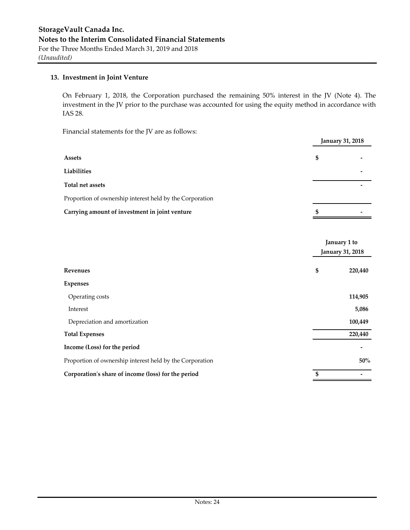#### **13. Investment in Joint Venture**

On February 1, 2018, the Corporation purchased the remaining 50% interest in the JV (Note 4). The investment in the JV prior to the purchase was accounted for using the equity method in accordance with IAS 28.

Financial statements for the JV are as follows:

|                                                          | <b>January 31, 2018</b> |
|----------------------------------------------------------|-------------------------|
| <b>Assets</b>                                            | \$                      |
| Liabilities                                              |                         |
| Total net assets                                         |                         |
| Proportion of ownership interest held by the Corporation |                         |
| Carrying amount of investment in joint venture           | \$                      |

|                                                          |                  | January 1 to |  |  |
|----------------------------------------------------------|------------------|--------------|--|--|
|                                                          | January 31, 2018 |              |  |  |
| <b>Revenues</b>                                          | \$               | 220,440      |  |  |
| <b>Expenses</b>                                          |                  |              |  |  |
| Operating costs                                          |                  | 114,905      |  |  |
| Interest                                                 |                  | 5,086        |  |  |
| Depreciation and amortization                            |                  | 100,449      |  |  |
| <b>Total Expenses</b>                                    |                  | 220,440      |  |  |
| Income (Loss) for the period                             |                  |              |  |  |
| Proportion of ownership interest held by the Corporation |                  | 50%          |  |  |
| Corporation's share of income (loss) for the period      | \$               |              |  |  |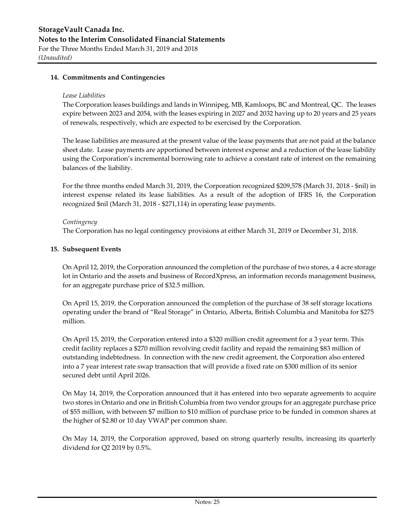#### **14. Commitments and Contingencies**

#### *Lease Liabilities*

The Corporation leases buildings and lands in Winnipeg, MB, Kamloops, BC and Montreal, QC. The leases expire between 2023 and 2054, with the leases expiring in 2027 and 2032 having up to 20 years and 25 years of renewals, respectively, which are expected to be exercised by the Corporation.

The lease liabilities are measured at the present value of the lease payments that are not paid at the balance sheet date. Lease payments are apportioned between interest expense and a reduction of the lease liability using the Corporation's incremental borrowing rate to achieve a constant rate of interest on the remaining balances of the liability.

For the three months ended March 31, 2019, the Corporation recognized \$209,578 (March 31, 2018 ‐ \$nil) in interest expense related its lease liabilities. As a result of the adoption of IFRS 16, the Corporation recognized \$nil (March 31, 2018 ‐ \$271,114) in operating lease payments.

#### *Contingency*

The Corporation has no legal contingency provisions at either March 31, 2019 or December 31, 2018.

#### **15. Subsequent Events**

On April 12, 2019, the Corporation announced the completion of the purchase of two stores, a 4 acre storage lot in Ontario and the assets and business of RecordXpress, an information records management business, for an aggregate purchase price of \$32.5 million.

On April 15, 2019, the Corporation announced the completion of the purchase of 38 self storage locations operating under the brand of "Real Storage" in Ontario, Alberta, British Columbia and Manitoba for \$275 million.

On April 15, 2019, the Corporation entered into a \$320 million credit agreement for a 3 year term. This credit facility replaces a \$270 million revolving credit facility and repaid the remaining \$83 million of outstanding indebtedness. In connection with the new credit agreement, the Corporation also entered into a 7 year interest rate swap transaction that will provide a fixed rate on \$300 million of its senior secured debt until April 2026.

On May 14, 2019, the Corporation announced that it has entered into two separate agreements to acquire two stores in Ontario and one in British Columbia from two vendor groups for an aggregate purchase price of \$55 million, with between \$7 million to \$10 million of purchase price to be funded in common shares at the higher of \$2.80 or 10 day VWAP per common share.

On May 14, 2019, the Corporation approved, based on strong quarterly results, increasing its quarterly dividend for Q2 2019 by 0.5%.